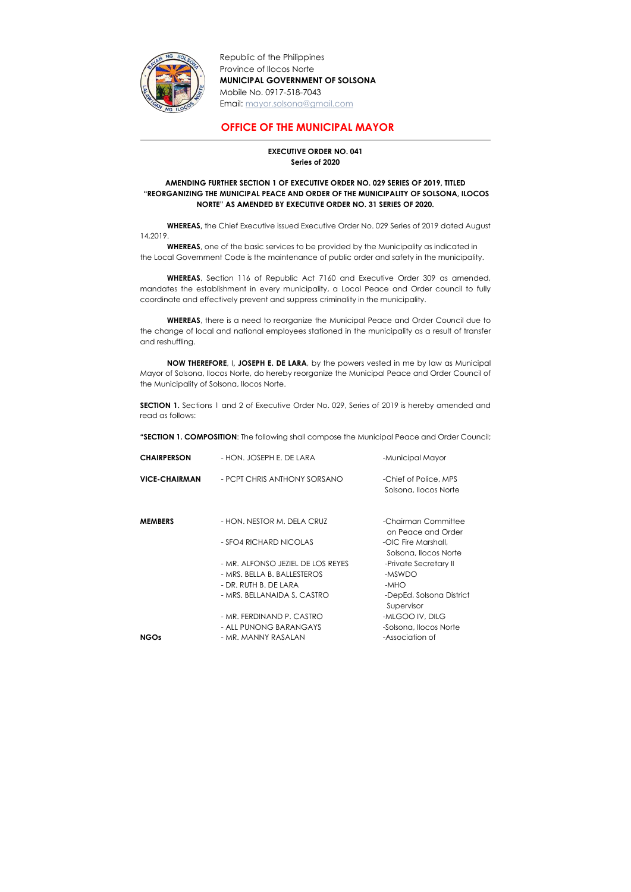

-

Republic of the Philippines Province of Ilocos Norte MUNICIPAL GOVERNMENT OF SOLSONA Mobile No. 0917-518-7043 Email: mayor.solsona@gmail.com

## OFFICE OF THE MUNICIPAL MAYOR

## EXECUTIVE ORDER NO. 041 Series of 2020

## AMENDING FURTHER SECTION 1 OF EXECUTIVE ORDER NO. 029 SERIES OF 2019, TITLED "REORGANIZING THE MUNICIPAL PEACE AND ORDER OF THE MUNICIPALITY OF SOLSONA, ILOCOS NORTE" AS AMENDED BY EXECUTIVE ORDER NO. 31 SERIES OF 2020.

WHEREAS, the Chief Executive issued Executive Order No. 029 Series of 2019 dated August 14,2019.

WHEREAS, one of the basic services to be provided by the Municipality as indicated in the Local Government Code is the maintenance of public order and safety in the municipality.

SECTION 1. Sections 1 and 2 of Executive Order No. 029, Series of 2019 is hereby amended and read as follows:

WHEREAS, Section 116 of Republic Act 7160 and Executive Order 309 as amended, mandates the establishment in every municipality, a Local Peace and Order council to fully coordinate and effectively prevent and suppress criminality in the municipality.

WHEREAS, there is a need to reorganize the Municipal Peace and Order Council due to the change of local and national employees stationed in the municipality as a result of transfer and reshuffling.

NOW THEREFORE, I, JOSEPH E. DE LARA, by the powers vested in me by law as Municipal Mayor of Solsona, Ilocos Norte, do hereby reorganize the Municipal Peace and Order Council of the Municipality of Solsona, Ilocos Norte.

"SECTION 1. COMPOSITION: The following shall compose the Municipal Peace and Order Council;

| <b>CHAIRPERSON</b>   | - HON. JOSEPH E. DE LARA          | -Municipal Mayor                               |
|----------------------|-----------------------------------|------------------------------------------------|
| <b>VICE-CHAIRMAN</b> | - PCPT CHRIS ANTHONY SORSANO      | -Chief of Police, MPS<br>Solsona, Ilocos Norte |
| <b>MEMBERS</b>       | - HON. NESTOR M. DELA CRUZ        | -Chairman Committee<br>on Peace and Order      |
|                      | - SFO4 RICHARD NICOLAS            | -OIC Fire Marshall,<br>Solsona, Ilocos Norte   |
|                      | - MR. ALFONSO JEZIEL DE LOS REYES | -Private Secretary II                          |
|                      | - MRS. BELLA B. BALLESTEROS       | -MSWDO                                         |
|                      | - DR. RUTH B. DE LARA             | -MHO                                           |
|                      | - MRS. BELLANAIDA S. CASTRO       | -DepEd, Solsona District<br>Supervisor         |
|                      | - MR. FERDINAND P. CASTRO         | -MLGOO IV, DILG                                |
|                      | - ALL PUNONG BARANGAYS            | -Solsona, Ilocos Norte                         |
| <b>NGOs</b>          | - MR. MANNY RASALAN               | -Association of                                |